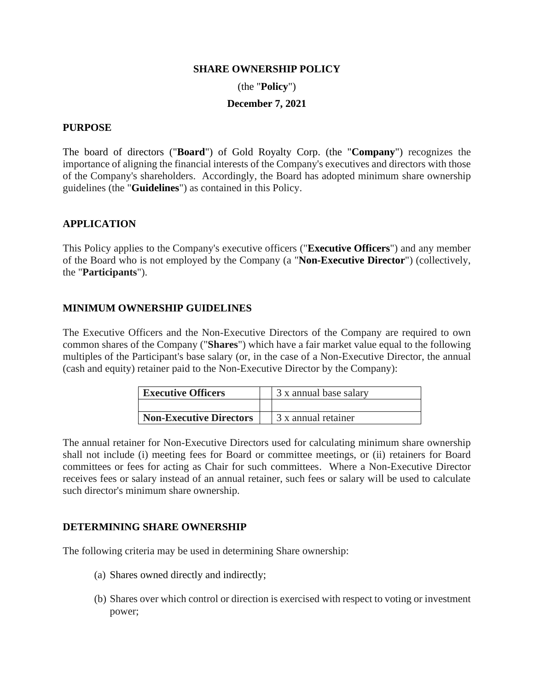#### **SHARE OWNERSHIP POLICY**

(the "**Policy**")

### **December 7, 2021**

### **PURPOSE**

The board of directors ("**Board**") of Gold Royalty Corp. (the "**Company**") recognizes the importance of aligning the financial interests of the Company's executives and directors with those of the Company's shareholders. Accordingly, the Board has adopted minimum share ownership guidelines (the "**Guidelines**") as contained in this Policy.

## **APPLICATION**

This Policy applies to the Company's executive officers ("**Executive Officers**") and any member of the Board who is not employed by the Company (a "**Non-Executive Director**") (collectively, the "**Participants**").

## **MINIMUM OWNERSHIP GUIDELINES**

The Executive Officers and the Non-Executive Directors of the Company are required to own common shares of the Company ("**Shares**") which have a fair market value equal to the following multiples of the Participant's base salary (or, in the case of a Non-Executive Director, the annual (cash and equity) retainer paid to the Non-Executive Director by the Company):

| <b>Executive Officers</b>      | 3 x annual base salary |
|--------------------------------|------------------------|
|                                |                        |
| <b>Non-Executive Directors</b> | 3 x annual retainer    |

The annual retainer for Non-Executive Directors used for calculating minimum share ownership shall not include (i) meeting fees for Board or committee meetings, or (ii) retainers for Board committees or fees for acting as Chair for such committees. Where a Non-Executive Director receives fees or salary instead of an annual retainer, such fees or salary will be used to calculate such director's minimum share ownership.

## **DETERMINING SHARE OWNERSHIP**

The following criteria may be used in determining Share ownership:

- (a) Shares owned directly and indirectly;
- (b) Shares over which control or direction is exercised with respect to voting or investment power;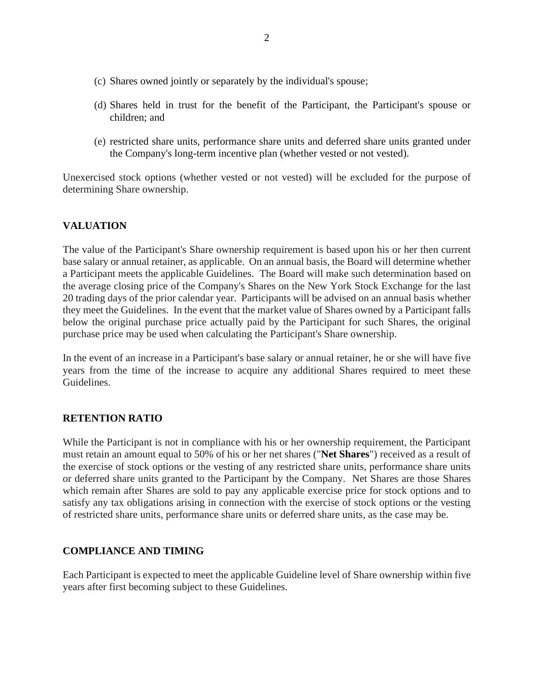- (c) Shares owned jointly or separately by the individual's spouse;
- (d) Shares held in trust for the benefit of the Participant, the Participant's spouse or children; and
- (e) restricted share units, performance share units and deferred share units granted under the Company's long-term incentive plan (whether vested or not vested).

Unexercised stock options (whether vested or not vested) will be excluded for the purpose of determining Share ownership.

# **VALUATION**

The value of the Participant's Share ownership requirement is based upon his or her then current base salary or annual retainer, as applicable. On an annual basis, the Board will determine whether a Participant meets the applicable Guidelines. The Board will make such determination based on the average closing price of the Company's Shares on the New York Stock Exchange for the last 20 trading days of the prior calendar year. Participants will be advised on an annual basis whether they meet the Guidelines. In the event that the market value of Shares owned by a Participant falls below the original purchase price actually paid by the Participant for such Shares, the original purchase price may be used when calculating the Participant's Share ownership.

In the event of an increase in a Participant's base salary or annual retainer, he or she will have five years from the time of the increase to acquire any additional Shares required to meet these Guidelines.

## **RETENTION RATIO**

While the Participant is not in compliance with his or her ownership requirement, the Participant must retain an amount equal to 50% of his or her net shares ("**Net Shares**") received as a result of the exercise of stock options or the vesting of any restricted share units, performance share units or deferred share units granted to the Participant by the Company. Net Shares are those Shares which remain after Shares are sold to pay any applicable exercise price for stock options and to satisfy any tax obligations arising in connection with the exercise of stock options or the vesting of restricted share units, performance share units or deferred share units, as the case may be.

#### **COMPLIANCE AND TIMING**

Each Participant is expected to meet the applicable Guideline level of Share ownership within five years after first becoming subject to these Guidelines.